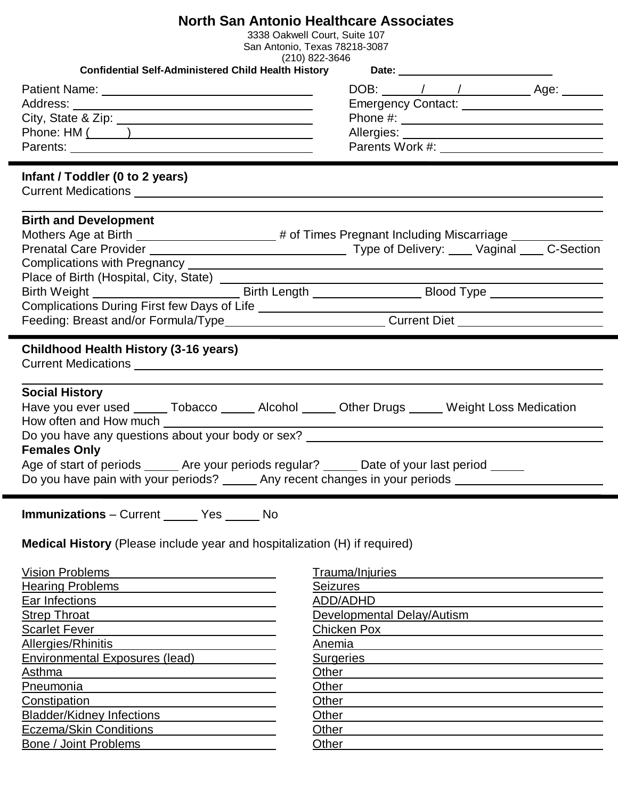| <b>North San Antonio Healthcare Associates</b>                                                                                                                                                                                                                                                                                                                                                                                                                                                                                                                                                                                                                                                                                            |                                                                                                                |
|-------------------------------------------------------------------------------------------------------------------------------------------------------------------------------------------------------------------------------------------------------------------------------------------------------------------------------------------------------------------------------------------------------------------------------------------------------------------------------------------------------------------------------------------------------------------------------------------------------------------------------------------------------------------------------------------------------------------------------------------|----------------------------------------------------------------------------------------------------------------|
| 3338 Oakwell Court, Suite 107                                                                                                                                                                                                                                                                                                                                                                                                                                                                                                                                                                                                                                                                                                             |                                                                                                                |
|                                                                                                                                                                                                                                                                                                                                                                                                                                                                                                                                                                                                                                                                                                                                           | San Antonio, Texas 78218-3087<br>$(210)$ 822-3646                                                              |
|                                                                                                                                                                                                                                                                                                                                                                                                                                                                                                                                                                                                                                                                                                                                           | Confidential Self-Administered Child Health History Date: 1990 Date: 2001                                      |
|                                                                                                                                                                                                                                                                                                                                                                                                                                                                                                                                                                                                                                                                                                                                           |                                                                                                                |
| Patient Name: 2008 and 2012 and 2012 and 2013 and 2013 and 2013 and 2013 and 2013 and 2013 and 2013 and 2013 and 2013 and 2013 and 2013 and 2013 and 2013 and 2013 and 2013 and 2013 and 2013 and 2013 and 2013 and 2013 and 2                                                                                                                                                                                                                                                                                                                                                                                                                                                                                                            |                                                                                                                |
|                                                                                                                                                                                                                                                                                                                                                                                                                                                                                                                                                                                                                                                                                                                                           |                                                                                                                |
| City, State & Zip: 1997                                                                                                                                                                                                                                                                                                                                                                                                                                                                                                                                                                                                                                                                                                                   |                                                                                                                |
| Phone: HM ( )                                                                                                                                                                                                                                                                                                                                                                                                                                                                                                                                                                                                                                                                                                                             |                                                                                                                |
|                                                                                                                                                                                                                                                                                                                                                                                                                                                                                                                                                                                                                                                                                                                                           |                                                                                                                |
| Infant / Toddler (0 to 2 years)                                                                                                                                                                                                                                                                                                                                                                                                                                                                                                                                                                                                                                                                                                           |                                                                                                                |
|                                                                                                                                                                                                                                                                                                                                                                                                                                                                                                                                                                                                                                                                                                                                           |                                                                                                                |
| <b>Birth and Development</b>                                                                                                                                                                                                                                                                                                                                                                                                                                                                                                                                                                                                                                                                                                              |                                                                                                                |
| Mothers Age at Birth ______________________# of Times Pregnant Including Miscarriage _____________                                                                                                                                                                                                                                                                                                                                                                                                                                                                                                                                                                                                                                        |                                                                                                                |
|                                                                                                                                                                                                                                                                                                                                                                                                                                                                                                                                                                                                                                                                                                                                           |                                                                                                                |
| Complications with Pregnancy <b>contract to the Complications with Pregnancy</b>                                                                                                                                                                                                                                                                                                                                                                                                                                                                                                                                                                                                                                                          |                                                                                                                |
|                                                                                                                                                                                                                                                                                                                                                                                                                                                                                                                                                                                                                                                                                                                                           |                                                                                                                |
|                                                                                                                                                                                                                                                                                                                                                                                                                                                                                                                                                                                                                                                                                                                                           | Birth Weight ___________________________________Birth Length ____________________Blood Type __________________ |
|                                                                                                                                                                                                                                                                                                                                                                                                                                                                                                                                                                                                                                                                                                                                           |                                                                                                                |
|                                                                                                                                                                                                                                                                                                                                                                                                                                                                                                                                                                                                                                                                                                                                           | Feeding: Breast and/or Formula/Type____________________________Current Diet _______________________            |
|                                                                                                                                                                                                                                                                                                                                                                                                                                                                                                                                                                                                                                                                                                                                           |                                                                                                                |
| <b>Childhood Health History (3-16 years)</b>                                                                                                                                                                                                                                                                                                                                                                                                                                                                                                                                                                                                                                                                                              |                                                                                                                |
| <b>Social History</b><br>Have you ever used ______ Tobacco ______ Alcohol ______ Other Drugs _____ Weight Loss Medication<br>How often and How much <b>Fig. 1.1 Fig. 1.1 Fig. 1.1 Fig. 1.1 Fig. 1.1 Fig. 1.1 Fig. 1.1 Fig. 1.1 Fig. 1.1 Fig. 1.1 Fig. 1.1 Fig. 1.1 Fig. 1.1 Fig. 1.1 Fig. 1.1 Fig. 1.1 Fig. 1.1 Fig. 1.1 Fig. 1.1 Fig. 1.1 Fig. 1.1 Fig. 1.1 </b><br><u> 1980 - Andrea Brand, Amerikaansk politiker († 1908)</u><br>Do you have any questions about your body or sex? ______________________________<br><b>Females Only</b><br>Age of start of periods _____ Are your periods regular? _____<br>Date of your last period __<br>Do you have pain with your periods? _______ Any recent changes in your periods ___________ |                                                                                                                |
| <b>Immunizations</b> – Current ______ Yes ______ No<br>Medical History (Please include year and hospitalization (H) if required)                                                                                                                                                                                                                                                                                                                                                                                                                                                                                                                                                                                                          |                                                                                                                |
| <b>Vision Problems</b>                                                                                                                                                                                                                                                                                                                                                                                                                                                                                                                                                                                                                                                                                                                    | Trauma/Injuries                                                                                                |
| Hearing Problems <b>Exercise Services Hearing Problems</b>                                                                                                                                                                                                                                                                                                                                                                                                                                                                                                                                                                                                                                                                                | <b>Seizures</b>                                                                                                |
| Ear Infections                                                                                                                                                                                                                                                                                                                                                                                                                                                                                                                                                                                                                                                                                                                            | ADD/ADHD                                                                                                       |
| <b>Strep Throat</b>                                                                                                                                                                                                                                                                                                                                                                                                                                                                                                                                                                                                                                                                                                                       | <u> 1989 - Johann Barn, amerikansk politiker (d. 1989)</u><br>Developmental Delay/Autism                       |
| <b>Scarlet Fever</b>                                                                                                                                                                                                                                                                                                                                                                                                                                                                                                                                                                                                                                                                                                                      | Chicken Pox                                                                                                    |
| <b>Allergies/Rhinitis</b>                                                                                                                                                                                                                                                                                                                                                                                                                                                                                                                                                                                                                                                                                                                 | Anemia                                                                                                         |
| <b>Environmental Exposures (lead)</b>                                                                                                                                                                                                                                                                                                                                                                                                                                                                                                                                                                                                                                                                                                     | <b>Surgeries</b>                                                                                               |
| Asthma                                                                                                                                                                                                                                                                                                                                                                                                                                                                                                                                                                                                                                                                                                                                    | Other                                                                                                          |
|                                                                                                                                                                                                                                                                                                                                                                                                                                                                                                                                                                                                                                                                                                                                           |                                                                                                                |
| Pneumonia                                                                                                                                                                                                                                                                                                                                                                                                                                                                                                                                                                                                                                                                                                                                 | Other                                                                                                          |
| Constipation                                                                                                                                                                                                                                                                                                                                                                                                                                                                                                                                                                                                                                                                                                                              | Other                                                                                                          |
| <b>Bladder/Kidney Infections</b>                                                                                                                                                                                                                                                                                                                                                                                                                                                                                                                                                                                                                                                                                                          | Other                                                                                                          |
| Eczema/Skin Conditions <b>Ecallenge Constant</b>                                                                                                                                                                                                                                                                                                                                                                                                                                                                                                                                                                                                                                                                                          | Other                                                                                                          |
| Bone / Joint Problems                                                                                                                                                                                                                                                                                                                                                                                                                                                                                                                                                                                                                                                                                                                     | Other                                                                                                          |